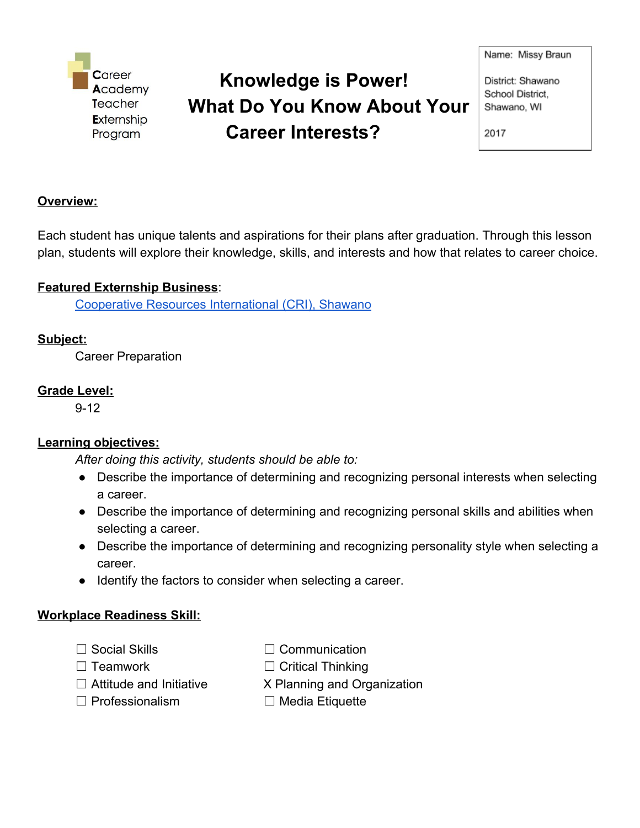**Career** Academy Teacher Externship Program

# **Knowledge is Power! What Do You Know About Your Career Interests?**

Name: Missy Braun

District: Shawano School District. Shawano, WI

2017

#### **Overview:**

Each student has unique talents and aspirations for their plans after graduation. Through this lesson plan, students will explore their knowledge, skills, and interests and how that relates to career choice.

### **Featured Externship Business**:

Cooperative Resources [International](http://cri.crinet.com/) (CRI), Shawano

### **Subject:**

Career Preparation

#### **Grade Level:**

9-12

# **Learning objectives:**

*After doing this activity, students should be able to:*

- Describe the importance of determining and recognizing personal interests when selecting a career.
- Describe the importance of determining and recognizing personal skills and abilities when selecting a career.
- Describe the importance of determining and recognizing personality style when selecting a career.
- Identify the factors to consider when selecting a career.

#### **Workplace Readiness Skill:**

- 
- ☐ Social Skills ☐ Communication
- 
- ☐ Teamwork ☐ Critical Thinking
- $\Box$  Attitude and Initiative  $\Box$  X Planning and Organization
	-
- 
- 
- ☐ Professionalism ☐ Media Etiquette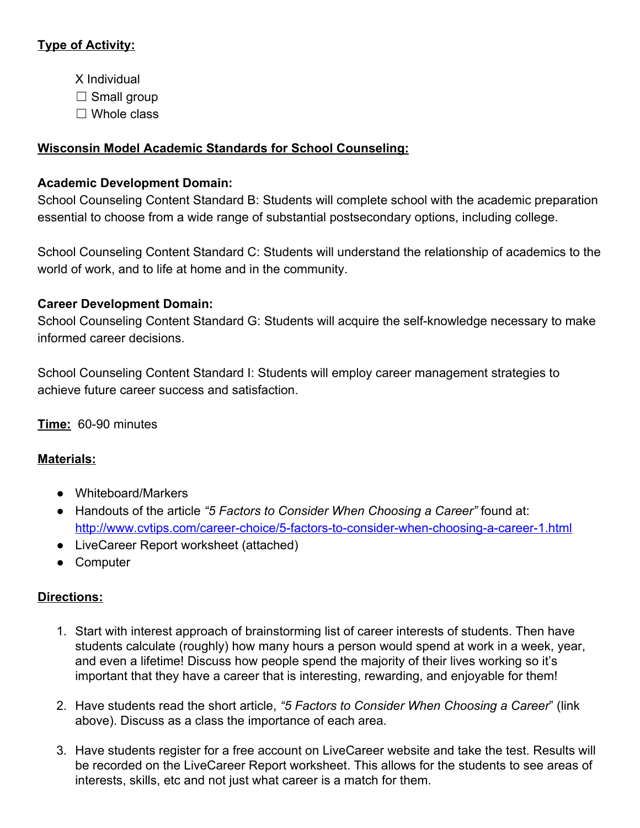# **Type of Activity:**

- X Individual
- $\Box$  Small group
- $\Box$  Whole class

# **Wisconsin Model Academic Standards for School Counseling:**

# **Academic Development Domain:**

School Counseling Content Standard B: Students will complete school with the academic preparation essential to choose from a wide range of substantial postsecondary options, including college.

School Counseling Content Standard C: Students will understand the relationship of academics to the world of work, and to life at home and in the community.

# **Career Development Domain:**

School Counseling Content Standard G: Students will acquire the self-knowledge necessary to make informed career decisions.

School Counseling Content Standard I: Students will employ career management strategies to achieve future career success and satisfaction.

**Time:** 60-90 minutes

# **Materials:**

- Whiteboard/Markers
- Handouts of the article *"5 Factors to Consider When Choosing a Career"* found at: <http://www.cvtips.com/career-choice/5-factors-to-consider-when-choosing-a-career-1.html>
- LiveCareer Report worksheet (attached)
- Computer

# **Directions:**

- 1. Start with interest approach of brainstorming list of career interests of students. Then have students calculate (roughly) how many hours a person would spend at work in a week, year, and even a lifetime! Discuss how people spend the majority of their lives working so it's important that they have a career that is interesting, rewarding, and enjoyable for them!
- 2. Have students read the short article, *"5 Factors to Consider When Choosing a Career*" (link above). Discuss as a class the importance of each area.
- 3. Have students register for a free account on LiveCareer website and take the test. Results will be recorded on the LiveCareer Report worksheet. This allows for the students to see areas of interests, skills, etc and not just what career is a match for them.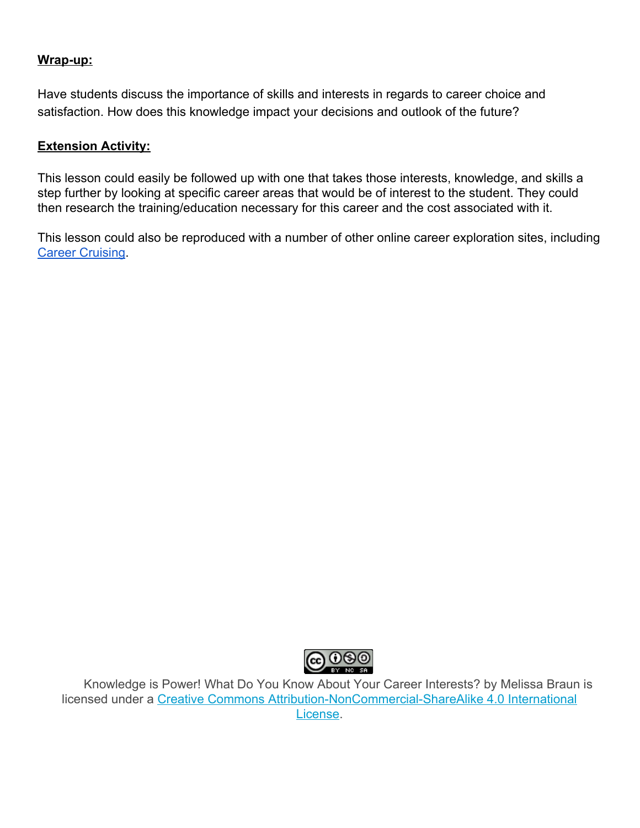#### **Wrap-up:**

Have students discuss the importance of skills and interests in regards to career choice and satisfaction. How does this knowledge impact your decisions and outlook of the future?

#### **Extension Activity:**

This lesson could easily be followed up with one that takes those interests, knowledge, and skills a step further by looking at specific career areas that would be of interest to the student. They could then research the training/education necessary for this career and the cost associated with it.

This lesson could also be reproduced with a number of other online career exploration sites, including **Career [Cruising.](https://public.careercruising.com/en/)** 



Knowledge is Power! What Do You Know About Your Career Interests? by Melissa Braun is licensed under a Creative Commons [Attribution-NonCommercial-ShareAlike](http://creativecommons.org/licenses/by-nc-sa/4.0/) 4.0 International [License.](http://creativecommons.org/licenses/by-nc-sa/4.0/)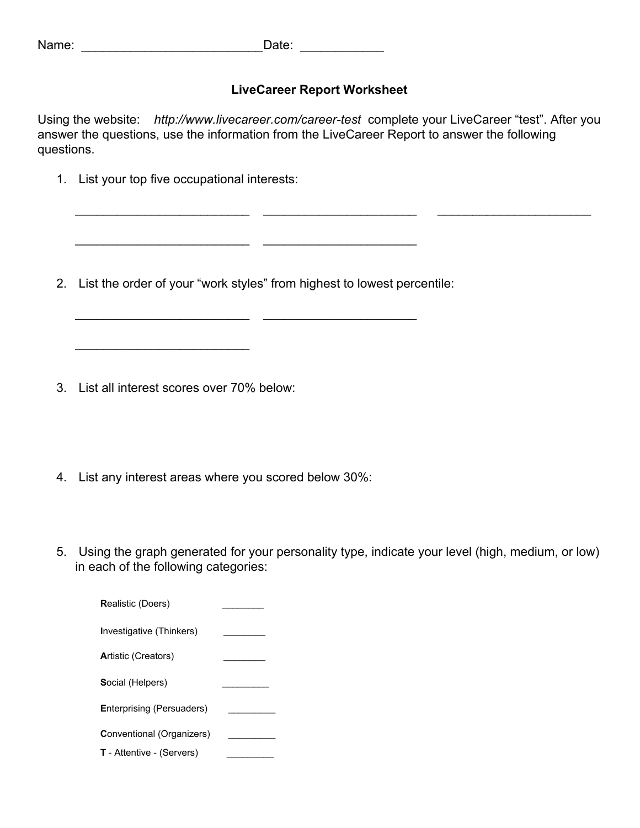Name: \_\_\_\_\_\_\_\_\_\_\_\_\_\_\_\_\_\_\_\_\_\_\_\_\_\_Date: \_\_\_\_\_\_\_\_\_\_\_\_

### **LiveCareer Report Worksheet**

Using the website: *http://www.livecareer.com/career-test* complete your LiveCareer "test". After you answer the questions, use the information from the LiveCareer Report to answer the following questions.

\_\_\_\_\_\_\_\_\_\_\_\_\_\_\_\_\_\_\_\_\_\_\_\_\_ \_\_\_\_\_\_\_\_\_\_\_\_\_\_\_\_\_\_\_\_\_\_ \_\_\_\_\_\_\_\_\_\_\_\_\_\_\_\_\_\_\_\_\_\_

1. List your top five occupational interests:

2. List the order of your "work styles" from highest to lowest percentile:

\_\_\_\_\_\_\_\_\_\_\_\_\_\_\_\_\_\_\_\_\_\_\_\_\_ \_\_\_\_\_\_\_\_\_\_\_\_\_\_\_\_\_\_\_\_\_\_

 $\overline{\phantom{a}}$  , and the set of the set of the set of the set of the set of the set of the set of the set of the set of the set of the set of the set of the set of the set of the set of the set of the set of the set of the s

3. List all interest scores over 70% below:

 $\_$ 

- 4. List any interest areas where you scored below 30%:
- 5. Using the graph generated for your personality type, indicate your level (high, medium, or low) in each of the following categories: